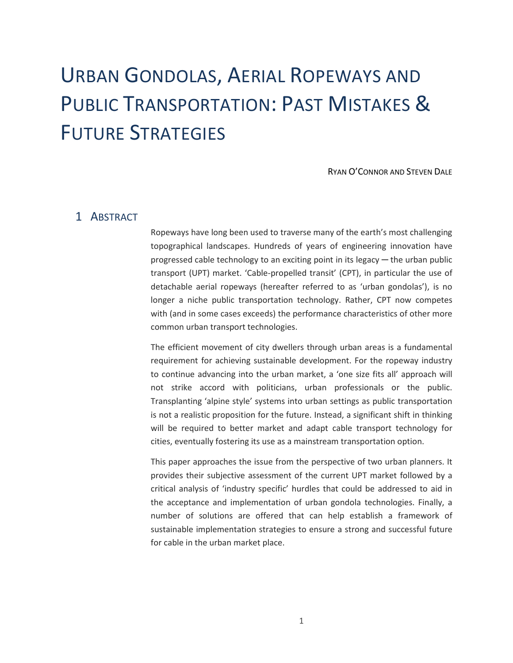# URBAN GONDOLAS, AERIAL ROPEWAYS AND PUBLIC TRANSPORTATION: PAST MISTAKES & FUTURE STRATEGIES

RYAN O'CONNOR AND STEVEN DALE

## 1 ABSTRACT

Ropeways have long been used to traverse many of the earth's most challenging topographical landscapes. Hundreds of years of engineering innovation have progressed cable technology to an exciting point in its legacy  $-$  the urban public transport (UPT) market. 'Cable-propelled transit' (CPT), in particular the use of detachable aerial ropeways (hereafter referred to as 'urban gondolas'), is no longer a niche public transportation technology. Rather, CPT now competes with (and in some cases exceeds) the performance characteristics of other more common urban transport technologies.

The efficient movement of city dwellers through urban areas is a fundamental requirement for achieving sustainable development. For the ropeway industry to continue advancing into the urban market, a 'one size fits all' approach will not strike accord with politicians, urban professionals or the public. Transplanting 'alpine style' systems into urban settings as public transportation is not a realistic proposition for the future. Instead, a significant shift in thinking will be required to better market and adapt cable transport technology for cities, eventually fostering its use as a mainstream transportation option.

This paper approaches the issue from the perspective of two urban planners. It provides their subjective assessment of the current UPT market followed by a critical analysis of 'industry specific' hurdles that could be addressed to aid in the acceptance and implementation of urban gondola technologies. Finally, a number of solutions are offered that can help establish a framework of sustainable implementation strategies to ensure a strong and successful future for cable in the urban market place.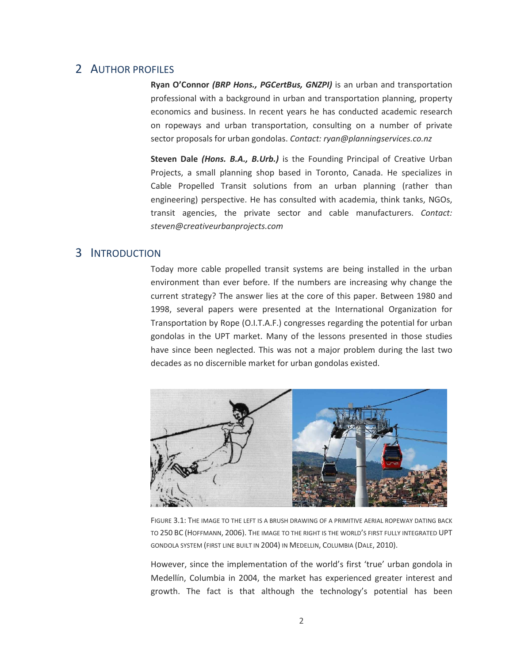#### 2 AUTHOR PROFILES

**Ryan O'Connor** *(BRP Hons., PGCertBus, GNZPI)* is an urban and transportation professional with a background in urban and transportation planning, property economics and business. In recent years he has conducted academic research on ropeways and urban transportation, consulting on a number of private sector proposals for urban gondolas. *Contact: ryan@planningservices.co.nz*

**Steven Dale** *(Hons. B.A., B.Urb.)* is the Founding Principal of Creative Urban Projects, a small planning shop based in Toronto, Canada. He specializes in Cable Propelled Transit solutions from an urban planning (rather than engineering) perspective. He has consulted with academia, think tanks, NGOs, transit agencies, the private sector and cable manufacturers. *Contact: steven@creativeurbanprojects.com*

#### 3 INTRODUCTION

Today more cable propelled transit systems are being installed in the urban environment than ever before. If the numbers are increasing why change the current strategy? The answer lies at the core of this paper. Between 1980 and 1998, several papers were presented at the International Organization for Transportation by Rope (O.I.T.A.F.) congresses regarding the potential for urban gondolas in the UPT market. Many of the lessons presented in those studies have since been neglected. This was not a major problem during the last two decades as no discernible market for urban gondolas existed.



FIGURE 3.1: THE IMAGE TO THE LEFT IS A BRUSH DRAWING OF A PRIMITIVE AERIAL ROPEWAY DATING BACK TO 250 BC (HOFFMANN, 2006). THE IMAGE TO THE RIGHT IS THE WORLD'S FIRST FULLY INTEGRATED UPT GONDOLA SYSTEM (FIRST LINE BUILT IN 2004) IN MEDELLIN, COLUMBIA (DALE, 2010).

However, since the implementation of the world's first 'true' urban gondola in Medellín, Columbia in 2004, the market has experienced greater interest and growth. The fact is that although the technology's potential has been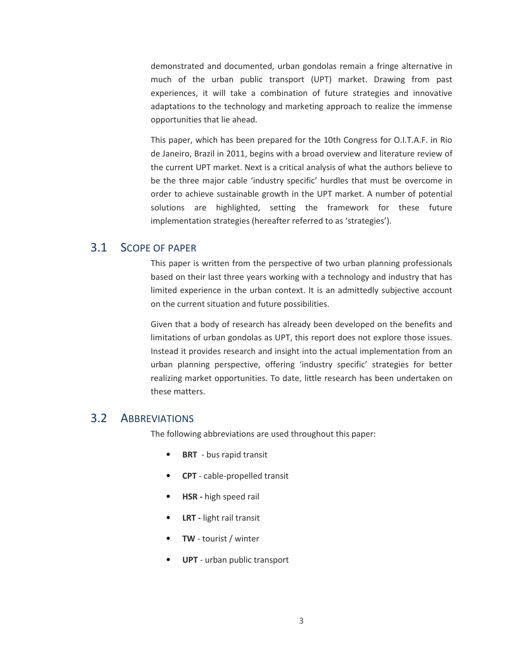demonstrated and documented, urban gondolas remain a fringe alternative in much of the urban public transport (UPT) market. Drawing from past experiences, it will take a combination of future strategies and innovative adaptations to the technology and marketing approach to realize the immense opportunities that lie ahead.

This paper, which has been prepared for the 10th Congress for O.I.T.A.F. in Rio de Janeiro, Brazil in 2011, begins with a broad overview and literature review of the current UPT market. Next is a critical analysis of what the authors believe to be the three major cable 'industry specific' hurdles that must be overcome in order to achieve sustainable growth in the UPT market. A number of potential solutions are highlighted, setting the framework for these future implementation strategies (hereafter referred to as 'strategies').

## 3.1 SCOPE OF PAPER

This paper is written from the perspective of two urban planning professionals based on their last three years working with a technology and industry that has limited experience in the urban context. It is an admittedly subjective account on the current situation and future possibilities.

Given that a body of research has already been developed on the benefits and limitations of urban gondolas as UPT, this report does not explore those issues. Instead it provides research and insight into the actual implementation from an urban planning perspective, offering 'industry specific' strategies for better realizing market opportunities. To date, little research has been undertaken on these matters.

#### 3.2 ABBREVIATIONS

The following abbreviations are used throughout this paper:

- **BRT** bus rapid transit
- **CPT** cable-propelled transit
- **HSR -** high speed rail
- **LRT -** light rail transit
- **TW**  tourist / winter
- **UPT**  urban public transport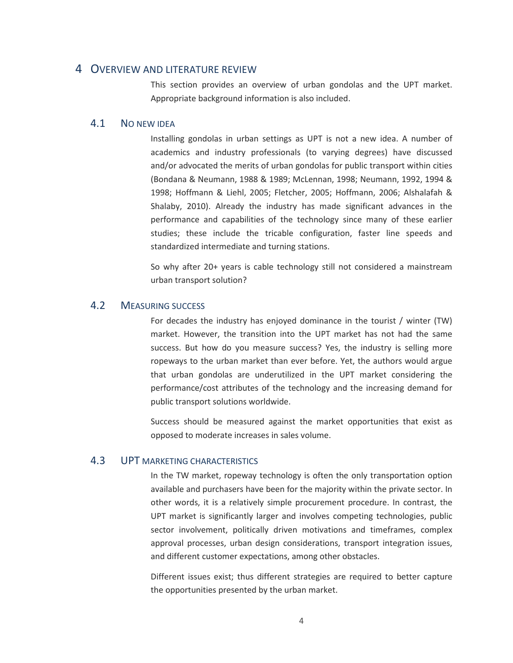#### 4 OVERVIEW AND LITERATURE REVIEW

This section provides an overview of urban gondolas and the UPT market. Appropriate background information is also included.

#### 4.1 NO NEW IDEA

Installing gondolas in urban settings as UPT is not a new idea. A number of academics and industry professionals (to varying degrees) have discussed and/or advocated the merits of urban gondolas for public transport within cities (Bondana & Neumann, 1988 & 1989; McLennan, 1998; Neumann, 1992, 1994 & 1998; Hoffmann & Liehl, 2005; Fletcher, 2005; Hoffmann, 2006; Alshalafah & Shalaby, 2010). Already the industry has made significant advances in the performance and capabilities of the technology since many of these earlier studies; these include the tricable configuration, faster line speeds and standardized intermediate and turning stations.

So why after 20+ years is cable technology still not considered a mainstream urban transport solution?

#### 4.2 MEASURING SUCCESS

For decades the industry has enjoyed dominance in the tourist / winter (TW) market. However, the transition into the UPT market has not had the same success. But how do you measure success? Yes, the industry is selling more ropeways to the urban market than ever before. Yet, the authors would argue that urban gondolas are underutilized in the UPT market considering the performance/cost attributes of the technology and the increasing demand for public transport solutions worldwide.

Success should be measured against the market opportunities that exist as opposed to moderate increases in sales volume.

#### 4.3 UPT MARKETING CHARACTERISTICS

In the TW market, ropeway technology is often the only transportation option available and purchasers have been for the majority within the private sector. In other words, it is a relatively simple procurement procedure. In contrast, the UPT market is significantly larger and involves competing technologies, public sector involvement, politically driven motivations and timeframes, complex approval processes, urban design considerations, transport integration issues, and different customer expectations, among other obstacles.

Different issues exist; thus different strategies are required to better capture the opportunities presented by the urban market.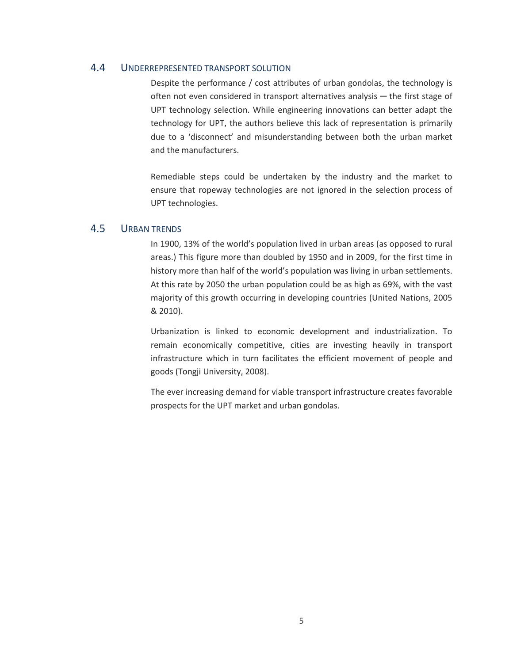#### 4.4 UNDERREPRESENTED TRANSPORT SOLUTION

Despite the performance / cost attributes of urban gondolas, the technology is often not even considered in transport alternatives analysis — the first stage of UPT technology selection. While engineering innovations can better adapt the technology for UPT, the authors believe this lack of representation is primarily due to a 'disconnect' and misunderstanding between both the urban market and the manufacturers.

Remediable steps could be undertaken by the industry and the market to ensure that ropeway technologies are not ignored in the selection process of UPT technologies.

#### 4.5 URBAN TRENDS

In 1900, 13% of the world's population lived in urban areas (as opposed to rural areas.) This figure more than doubled by 1950 and in 2009, for the first time in history more than half of the world's population was living in urban settlements. At this rate by 2050 the urban population could be as high as 69%, with the vast majority of this growth occurring in developing countries (United Nations, 2005 & 2010).

Urbanization is linked to economic development and industrialization. To remain economically competitive, cities are investing heavily in transport infrastructure which in turn facilitates the efficient movement of people and goods (Tongji University, 2008).

The ever increasing demand for viable transport infrastructure creates favorable prospects for the UPT market and urban gondolas.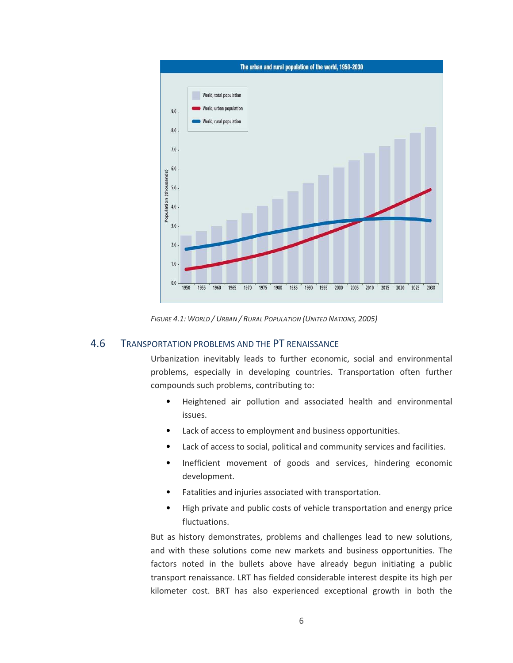

*FIGURE 4.1: WORLD / URBAN / RURAL POPULATION (UNITED NATIONS, 2005)*

#### 4.6 TRANSPORTATION PROBLEMS AND THE PT RENAISSANCE

Urbanization inevitably leads to further economic, social and environmental problems, especially in developing countries. Transportation often further compounds such problems, contributing to:

- Heightened air pollution and associated health and environmental issues.
- Lack of access to employment and business opportunities.
- Lack of access to social, political and community services and facilities.
- Inefficient movement of goods and services, hindering economic development.
- Fatalities and injuries associated with transportation.
- High private and public costs of vehicle transportation and energy price fluctuations.

But as history demonstrates, problems and challenges lead to new solutions, and with these solutions come new markets and business opportunities. The factors noted in the bullets above have already begun initiating a public transport renaissance. LRT has fielded considerable interest despite its high per kilometer cost. BRT has also experienced exceptional growth in both the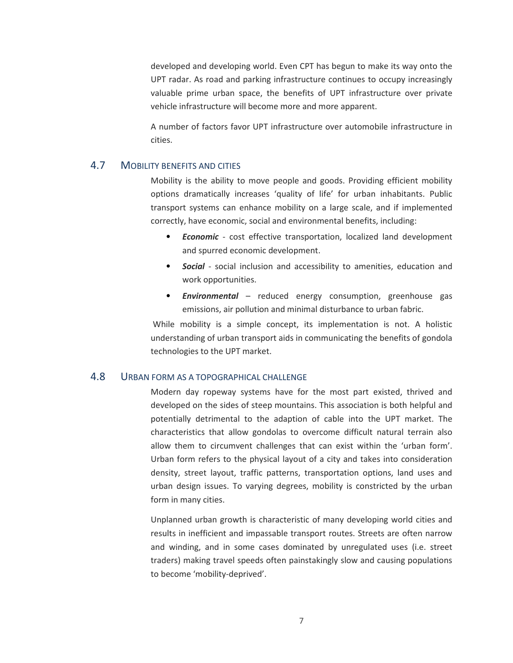developed and developing world. Even CPT has begun to make its way onto the UPT radar. As road and parking infrastructure continues to occupy increasingly valuable prime urban space, the benefits of UPT infrastructure over private vehicle infrastructure will become more and more apparent.

A number of factors favor UPT infrastructure over automobile infrastructure in cities.

#### 4.7 MOBILITY BENEFITS AND CITIES

Mobility is the ability to move people and goods. Providing efficient mobility options dramatically increases 'quality of life' for urban inhabitants. Public transport systems can enhance mobility on a large scale, and if implemented correctly, have economic, social and environmental benefits, including:

- *Economic* cost effective transportation, localized land development and spurred economic development.
- *Social* social inclusion and accessibility to amenities, education and work opportunities.
- *Environmental*  reduced energy consumption, greenhouse gas emissions, air pollution and minimal disturbance to urban fabric.

 While mobility is a simple concept, its implementation is not. A holistic understanding of urban transport aids in communicating the benefits of gondola technologies to the UPT market.

#### 4.8 URBAN FORM AS A TOPOGRAPHICAL CHALLENGE

Modern day ropeway systems have for the most part existed, thrived and developed on the sides of steep mountains. This association is both helpful and potentially detrimental to the adaption of cable into the UPT market. The characteristics that allow gondolas to overcome difficult natural terrain also allow them to circumvent challenges that can exist within the 'urban form'. Urban form refers to the physical layout of a city and takes into consideration density, street layout, traffic patterns, transportation options, land uses and urban design issues. To varying degrees, mobility is constricted by the urban form in many cities.

Unplanned urban growth is characteristic of many developing world cities and results in inefficient and impassable transport routes. Streets are often narrow and winding, and in some cases dominated by unregulated uses (i.e. street traders) making travel speeds often painstakingly slow and causing populations to become 'mobility-deprived'.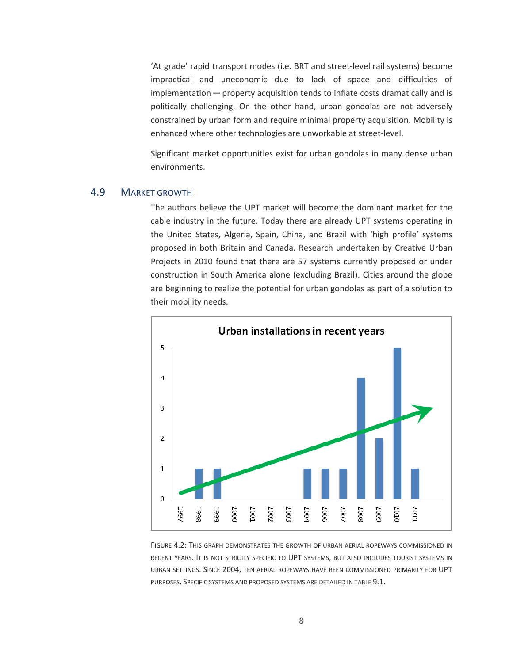'At grade' rapid transport modes (i.e. BRT and street-level rail systems) become impractical and uneconomic due to lack of space and difficulties of implementation ─ property acquisition tends to inflate costs dramatically and is politically challenging. On the other hand, urban gondolas are not adversely constrained by urban form and require minimal property acquisition. Mobility is enhanced where other technologies are unworkable at street-level.

Significant market opportunities exist for urban gondolas in many dense urban environments.

#### 4.9 MARKET GROWTH

The authors believe the UPT market will become the dominant market for the cable industry in the future. Today there are already UPT systems operating in the United States, Algeria, Spain, China, and Brazil with 'high profile' systems proposed in both Britain and Canada. Research undertaken by Creative Urban Projects in 2010 found that there are 57 systems currently proposed or under construction in South America alone (excluding Brazil). Cities around the globe are beginning to realize the potential for urban gondolas as part of a solution to their mobility needs.



FIGURE 4.2: THIS GRAPH DEMONSTRATES THE GROWTH OF URBAN AERIAL ROPEWAYS COMMISSIONED IN RECENT YEARS. IT IS NOT STRICTLY SPECIFIC TO UPT SYSTEMS, BUT ALSO INCLUDES TOURIST SYSTEMS IN URBAN SETTINGS. SINCE 2004, TEN AERIAL ROPEWAYS HAVE BEEN COMMISSIONED PRIMARILY FOR UPT PURPOSES. SPECIFIC SYSTEMS AND PROPOSED SYSTEMS ARE DETAILED IN TABLE 9.1.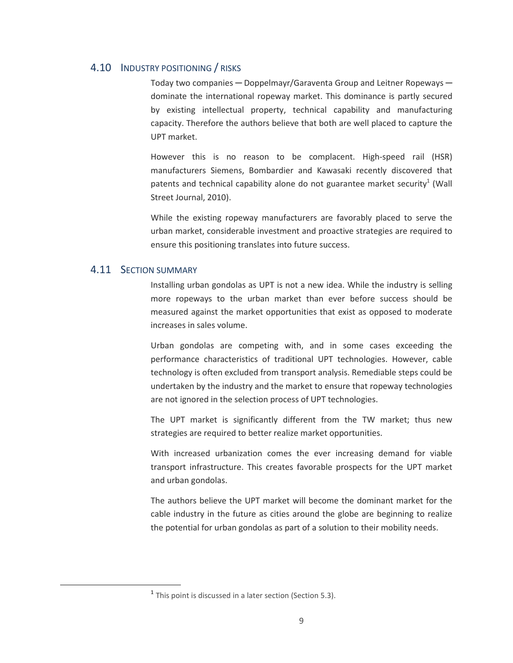#### 4.10 INDUSTRY POSITIONING / RISKS

Today two companies — Doppelmayr/Garaventa Group and Leitner Ropeways dominate the international ropeway market. This dominance is partly secured by existing intellectual property, technical capability and manufacturing capacity. Therefore the authors believe that both are well placed to capture the UPT market.

However this is no reason to be complacent. High-speed rail (HSR) manufacturers Siemens, Bombardier and Kawasaki recently discovered that patents and technical capability alone do not guarantee market security<sup>1</sup> (Wall Street Journal, 2010).

While the existing ropeway manufacturers are favorably placed to serve the urban market, considerable investment and proactive strategies are required to ensure this positioning translates into future success.

#### 4.11 SECTION SUMMARY

<u>.</u>

Installing urban gondolas as UPT is not a new idea. While the industry is selling more ropeways to the urban market than ever before success should be measured against the market opportunities that exist as opposed to moderate increases in sales volume.

Urban gondolas are competing with, and in some cases exceeding the performance characteristics of traditional UPT technologies. However, cable technology is often excluded from transport analysis. Remediable steps could be undertaken by the industry and the market to ensure that ropeway technologies are not ignored in the selection process of UPT technologies.

The UPT market is significantly different from the TW market; thus new strategies are required to better realize market opportunities.

With increased urbanization comes the ever increasing demand for viable transport infrastructure. This creates favorable prospects for the UPT market and urban gondolas.

The authors believe the UPT market will become the dominant market for the cable industry in the future as cities around the globe are beginning to realize the potential for urban gondolas as part of a solution to their mobility needs.

 $<sup>1</sup>$  This point is discussed in a later section (Section 5.3).</sup>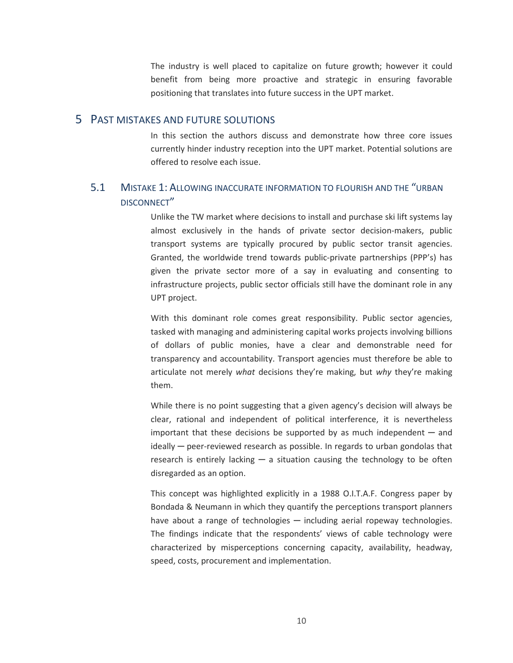The industry is well placed to capitalize on future growth; however it could benefit from being more proactive and strategic in ensuring favorable positioning that translates into future success in the UPT market.

#### 5 PAST MISTAKES AND FUTURE SOLUTIONS

In this section the authors discuss and demonstrate how three core issues currently hinder industry reception into the UPT market. Potential solutions are offered to resolve each issue.

## 5.1 MISTAKE 1: ALLOWING INACCURATE INFORMATION TO FLOURISH AND THE "URBAN DISCONNECT"

Unlike the TW market where decisions to install and purchase ski lift systems lay almost exclusively in the hands of private sector decision-makers, public transport systems are typically procured by public sector transit agencies. Granted, the worldwide trend towards public-private partnerships (PPP's) has given the private sector more of a say in evaluating and consenting to infrastructure projects, public sector officials still have the dominant role in any UPT project.

With this dominant role comes great responsibility. Public sector agencies, tasked with managing and administering capital works projects involving billions of dollars of public monies, have a clear and demonstrable need for transparency and accountability. Transport agencies must therefore be able to articulate not merely *what* decisions they're making, but *why* they're making them.

While there is no point suggesting that a given agency's decision will always be clear, rational and independent of political interference, it is nevertheless important that these decisions be supported by as much independent  $-$  and  $\delta$  ideally  $\rightarrow$  peer-reviewed research as possible. In regards to urban gondolas that research is entirely lacking  $-$  a situation causing the technology to be often disregarded as an option.

This concept was highlighted explicitly in a 1988 O.I.T.A.F. Congress paper by Bondada & Neumann in which they quantify the perceptions transport planners have about a range of technologies  $-$  including aerial ropeway technologies. The findings indicate that the respondents' views of cable technology were characterized by misperceptions concerning capacity, availability, headway, speed, costs, procurement and implementation.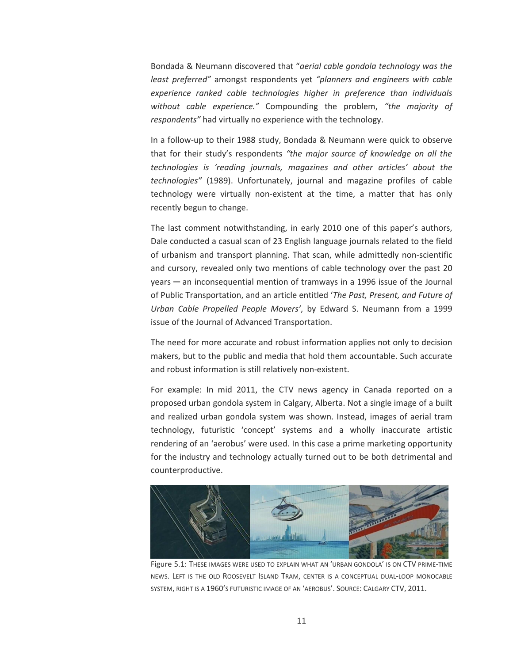Bondada & Neumann discovered that "*aerial cable gondola technology was the least preferred"* amongst respondents yet *"planners and engineers with cable experience ranked cable technologies higher in preference than individuals without cable experience."* Compounding the problem, *"the majority of respondents"* had virtually no experience with the technology.

In a follow-up to their 1988 study, Bondada & Neumann were quick to observe that for their study's respondents *"the major source of knowledge on all the technologies is 'reading journals, magazines and other articles' about the technologies"* (1989). Unfortunately, journal and magazine profiles of cable technology were virtually non-existent at the time, a matter that has only recently begun to change.

The last comment notwithstanding, in early 2010 one of this paper's authors, Dale conducted a casual scan of 23 English language journals related to the field of urbanism and transport planning. That scan, while admittedly non-scientific and cursory, revealed only two mentions of cable technology over the past 20 years ─ an inconsequential mention of tramways in a 1996 issue of the Journal of Public Transportation, and an article entitled '*The Past, Present, and Future of Urban Cable Propelled People Movers'*, by Edward S. Neumann from a 1999 issue of the Journal of Advanced Transportation.

The need for more accurate and robust information applies not only to decision makers, but to the public and media that hold them accountable. Such accurate and robust information is still relatively non-existent.

For example: In mid 2011, the CTV news agency in Canada reported on a proposed urban gondola system in Calgary, Alberta. Not a single image of a built and realized urban gondola system was shown. Instead, images of aerial tram technology, futuristic 'concept' systems and a wholly inaccurate artistic rendering of an 'aerobus' were used. In this case a prime marketing opportunity for the industry and technology actually turned out to be both detrimental and counterproductive.



Figure 5.1: THESE IMAGES WERE USED TO EXPLAIN WHAT AN 'URBAN GONDOLA' IS ON CTV PRIME-TIME NEWS. LEFT IS THE OLD ROOSEVELT ISLAND TRAM, CENTER IS A CONCEPTUAL DUAL-LOOP MONOCABLE SYSTEM, RIGHT IS A 1960'S FUTURISTIC IMAGE OF AN 'AEROBUS'. SOURCE: CALGARY CTV, 2011.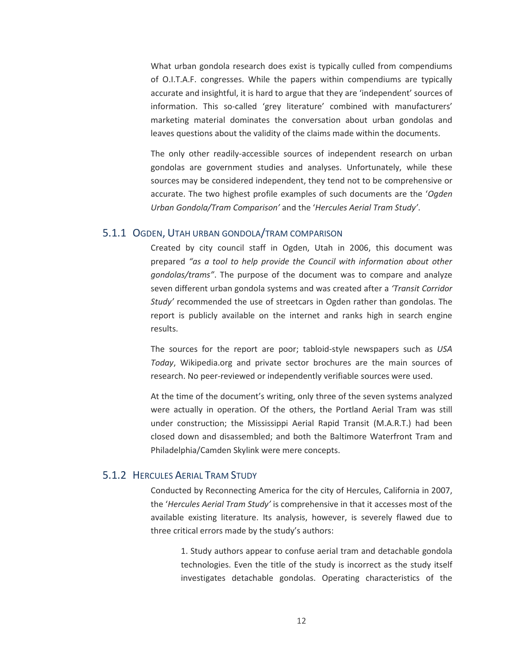What urban gondola research does exist is typically culled from compendiums of O.I.T.A.F. congresses. While the papers within compendiums are typically accurate and insightful, it is hard to argue that they are 'independent' sources of information. This so-called 'grey literature' combined with manufacturers' marketing material dominates the conversation about urban gondolas and leaves questions about the validity of the claims made within the documents.

The only other readily-accessible sources of independent research on urban gondolas are government studies and analyses. Unfortunately, while these sources may be considered independent, they tend not to be comprehensive or accurate. The two highest profile examples of such documents are the '*Ogden Urban Gondola/Tram Comparison'* and the '*Hercules Aerial Tram Study'*.

#### 5.1.1 OGDEN, UTAH URBAN GONDOLA/TRAM COMPARISON

Created by city council staff in Ogden, Utah in 2006, this document was prepared *"as a tool to help provide the Council with information about other gondolas/trams"*. The purpose of the document was to compare and analyze seven different urban gondola systems and was created after a *'Transit Corridor Study'* recommended the use of streetcars in Ogden rather than gondolas. The report is publicly available on the internet and ranks high in search engine results.

The sources for the report are poor; tabloid-style newspapers such as *USA Today*, Wikipedia.org and private sector brochures are the main sources of research. No peer-reviewed or independently verifiable sources were used.

At the time of the document's writing, only three of the seven systems analyzed were actually in operation. Of the others, the Portland Aerial Tram was still under construction; the Mississippi Aerial Rapid Transit (M.A.R.T.) had been closed down and disassembled; and both the Baltimore Waterfront Tram and Philadelphia/Camden Skylink were mere concepts.

#### 5.1.2 HERCULES AERIAL TRAM STUDY

Conducted by Reconnecting America for the city of Hercules, California in 2007, the '*Hercules Aerial Tram Study'* is comprehensive in that it accesses most of the available existing literature. Its analysis, however, is severely flawed due to three critical errors made by the study's authors:

1. Study authors appear to confuse aerial tram and detachable gondola technologies. Even the title of the study is incorrect as the study itself investigates detachable gondolas. Operating characteristics of the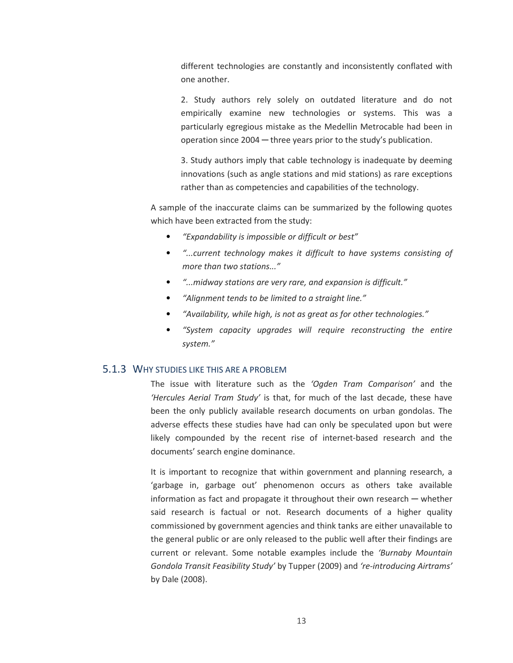different technologies are constantly and inconsistently conflated with one another.

2. Study authors rely solely on outdated literature and do not empirically examine new technologies or systems. This was a particularly egregious mistake as the Medellin Metrocable had been in operation since 2004 ─ three years prior to the study's publication.

3. Study authors imply that cable technology is inadequate by deeming innovations (such as angle stations and mid stations) as rare exceptions rather than as competencies and capabilities of the technology.

A sample of the inaccurate claims can be summarized by the following quotes which have been extracted from the study:

- *"Expandability is impossible or difficult or best"*
- *"...current technology makes it difficult to have systems consisting of more than two stations..."*
- *"...midway stations are very rare, and expansion is difficult."*
- *"Alignment tends to be limited to a straight line."*
- *"Availability, while high, is not as great as for other technologies."*
- *"System capacity upgrades will require reconstructing the entire system."*

#### 5.1.3 WHY STUDIES LIKE THIS ARE A PROBLEM

The issue with literature such as the *'Ogden Tram Comparison'* and the *'Hercules Aerial Tram Study'* is that, for much of the last decade, these have been the only publicly available research documents on urban gondolas. The adverse effects these studies have had can only be speculated upon but were likely compounded by the recent rise of internet-based research and the documents' search engine dominance.

It is important to recognize that within government and planning research, a 'garbage in, garbage out' phenomenon occurs as others take available information as fact and propagate it throughout their own research — whether said research is factual or not. Research documents of a higher quality commissioned by government agencies and think tanks are either unavailable to the general public or are only released to the public well after their findings are current or relevant. Some notable examples include the *'Burnaby Mountain Gondola Transit Feasibility Study'* by Tupper (2009) and *'re-introducing Airtrams'* by Dale (2008).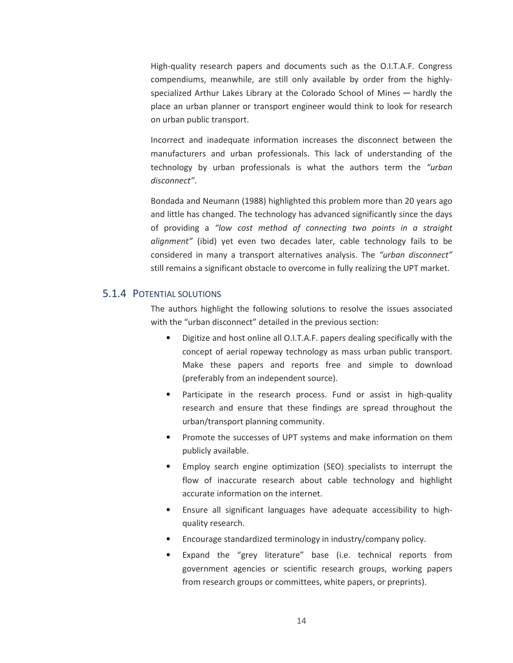High-quality research papers and documents such as the O.I.T.A.F. Congress compendiums, meanwhile, are still only available by order from the highlyspecialized Arthur Lakes Library at the Colorado School of Mines — hardly the place an urban planner or transport engineer would think to look for research on urban public transport.

Incorrect and inadequate information increases the disconnect between the manufacturers and urban professionals. This lack of understanding of the technology by urban professionals is what the authors term the *"urban disconnect"*.

Bondada and Neumann (1988) highlighted this problem more than 20 years ago and little has changed. The technology has advanced significantly since the days of providing a *"low cost method of connecting two points in a straight alignment"* (ibid) yet even two decades later, cable technology fails to be considered in many a transport alternatives analysis. The *"urban disconnect"*  still remains a significant obstacle to overcome in fully realizing the UPT market.

#### 5.1.4 POTENTIAL SOLUTIONS

The authors highlight the following solutions to resolve the issues associated with the "urban disconnect" detailed in the previous section:

- Digitize and host online all O.I.T.A.F. papers dealing specifically with the concept of aerial ropeway technology as mass urban public transport. Make these papers and reports free and simple to download (preferably from an independent source).
- Participate in the research process. Fund or assist in high-quality research and ensure that these findings are spread throughout the urban/transport planning community.
- Promote the successes of UPT systems and make information on them publicly available.
- Employ search engine optimization (SEO) specialists to interrupt the flow of inaccurate research about cable technology and highlight accurate information on the internet.
- Ensure all significant languages have adequate accessibility to highquality research.
- Encourage standardized terminology in industry/company policy.
- Expand the "grey literature" base (i.e. technical reports from government agencies or scientific research groups, working papers from research groups or committees, white papers, or preprints).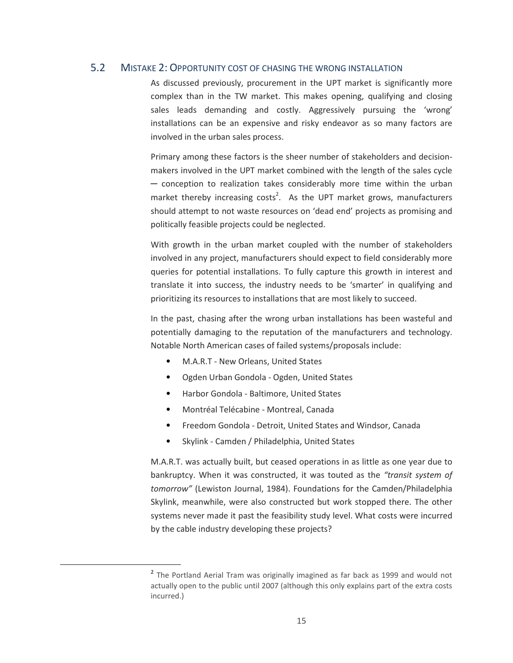#### 5.2 MISTAKE 2: OPPORTUNITY COST OF CHASING THE WRONG INSTALLATION

As discussed previously, procurement in the UPT market is significantly more complex than in the TW market. This makes opening, qualifying and closing sales leads demanding and costly. Aggressively pursuing the 'wrong' installations can be an expensive and risky endeavor as so many factors are involved in the urban sales process.

Primary among these factors is the sheer number of stakeholders and decisionmakers involved in the UPT market combined with the length of the sales cycle ─ conception to realization takes considerably more time within the urban market thereby increasing costs<sup>2</sup>. As the UPT market grows, manufacturers should attempt to not waste resources on 'dead end' projects as promising and politically feasible projects could be neglected.

With growth in the urban market coupled with the number of stakeholders involved in any project, manufacturers should expect to field considerably more queries for potential installations. To fully capture this growth in interest and translate it into success, the industry needs to be 'smarter' in qualifying and prioritizing its resources to installations that are most likely to succeed.

In the past, chasing after the wrong urban installations has been wasteful and potentially damaging to the reputation of the manufacturers and technology. Notable North American cases of failed systems/proposals include:

- M.A.R.T New Orleans, United States
- Ogden Urban Gondola Ogden, United States
- Harbor Gondola Baltimore, United States
- Montréal Telécabine Montreal, Canada

<u>.</u>

- Freedom Gondola Detroit, United States and Windsor, Canada
- Skylink Camden / Philadelphia, United States

M.A.R.T. was actually built, but ceased operations in as little as one year due to bankruptcy. When it was constructed, it was touted as the *"transit system of tomorrow"* (Lewiston Journal, 1984). Foundations for the Camden/Philadelphia Skylink, meanwhile, were also constructed but work stopped there. The other systems never made it past the feasibility study level. What costs were incurred by the cable industry developing these projects?

<sup>&</sup>lt;sup>2</sup> The Portland Aerial Tram was originally imagined as far back as 1999 and would not actually open to the public until 2007 (although this only explains part of the extra costs incurred.)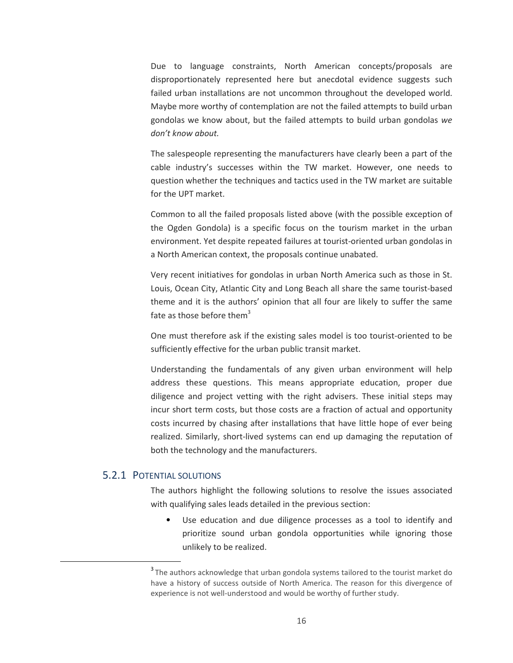Due to language constraints, North American concepts/proposals are disproportionately represented here but anecdotal evidence suggests such failed urban installations are not uncommon throughout the developed world. Maybe more worthy of contemplation are not the failed attempts to build urban gondolas we know about, but the failed attempts to build urban gondolas *we don't know about.*

The salespeople representing the manufacturers have clearly been a part of the cable industry's successes within the TW market. However, one needs to question whether the techniques and tactics used in the TW market are suitable for the UPT market.

Common to all the failed proposals listed above (with the possible exception of the Ogden Gondola) is a specific focus on the tourism market in the urban environment. Yet despite repeated failures at tourist-oriented urban gondolas in a North American context, the proposals continue unabated.

Very recent initiatives for gondolas in urban North America such as those in St. Louis, Ocean City, Atlantic City and Long Beach all share the same tourist-based theme and it is the authors' opinion that all four are likely to suffer the same fate as those before them<sup>3</sup>

One must therefore ask if the existing sales model is too tourist-oriented to be sufficiently effective for the urban public transit market.

Understanding the fundamentals of any given urban environment will help address these questions. This means appropriate education, proper due diligence and project vetting with the right advisers. These initial steps may incur short term costs, but those costs are a fraction of actual and opportunity costs incurred by chasing after installations that have little hope of ever being realized. Similarly, short-lived systems can end up damaging the reputation of both the technology and the manufacturers.

#### 5.2.1 POTENTIAL SOLUTIONS

<u>.</u>

The authors highlight the following solutions to resolve the issues associated with qualifying sales leads detailed in the previous section:

Use education and due diligence processes as a tool to identify and prioritize sound urban gondola opportunities while ignoring those unlikely to be realized.

<sup>&</sup>lt;sup>3</sup> The authors acknowledge that urban gondola systems tailored to the tourist market do have a history of success outside of North America. The reason for this divergence of experience is not well-understood and would be worthy of further study.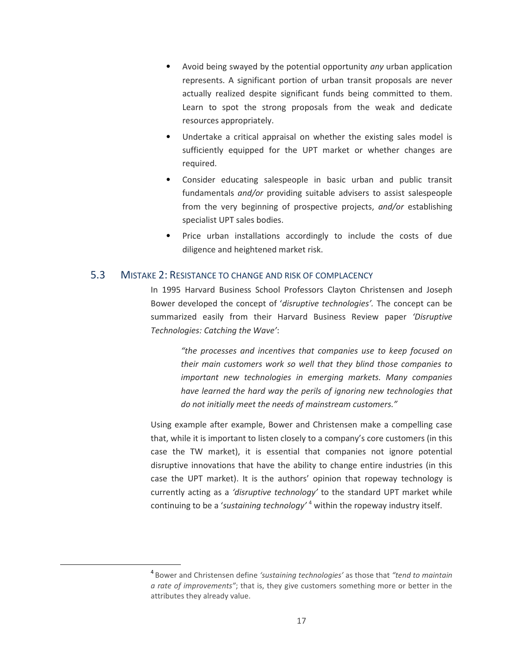- Avoid being swayed by the potential opportunity *any* urban application represents. A significant portion of urban transit proposals are never actually realized despite significant funds being committed to them. Learn to spot the strong proposals from the weak and dedicate resources appropriately.
- Undertake a critical appraisal on whether the existing sales model is sufficiently equipped for the UPT market or whether changes are required.
- Consider educating salespeople in basic urban and public transit fundamentals *and/or* providing suitable advisers to assist salespeople from the very beginning of prospective projects, *and/or* establishing specialist UPT sales bodies.
- Price urban installations accordingly to include the costs of due diligence and heightened market risk.

#### 5.3 MISTAKE 2: RESISTANCE TO CHANGE AND RISK OF COMPLACENCY

<u>.</u>

In 1995 Harvard Business School Professors Clayton Christensen and Joseph Bower developed the concept of '*disruptive technologies'.* The concept can be summarized easily from their Harvard Business Review paper *'Disruptive Technologies: Catching the Wave'*:

> *"the processes and incentives that companies use to keep focused on their main customers work so well that they blind those companies to important new technologies in emerging markets. Many companies have learned the hard way the perils of ignoring new technologies that do not initially meet the needs of mainstream customers."*

Using example after example, Bower and Christensen make a compelling case that, while it is important to listen closely to a company's core customers (in this case the TW market), it is essential that companies not ignore potential disruptive innovations that have the ability to change entire industries (in this case the UPT market). It is the authors' opinion that ropeway technology is currently acting as a *'disruptive technology'* to the standard UPT market while continuing to be a '*sustaining technology'* <sup>4</sup> within the ropeway industry itself.

<sup>4</sup>Bower and Christensen define *'sustaining technologies'* as those that *"tend to maintain a rate of improvements"*; that is, they give customers something more or better in the attributes they already value.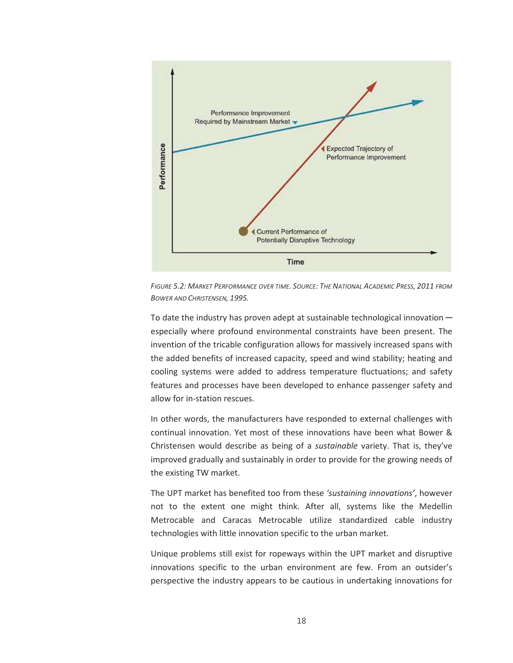

FIGURE 5.2: MARKET PERFORMANCE OVER TIME. SOURCE: THE NATIONAL ACADEMIC PRESS, 2011 FROM *BOWER AND CHRISTENSEN, 1995.* 

To date the industry has proven adept at sustainable technological innovation  $$ especially where profound environmental constraints have been present. The invention of the tricable configuration allows for massively increased spans with the added benefits of increased capacity, speed and wind stability; heating and cooling systems were added to address temperature fluctuations; and safety features and processes have been developed to enhance passenger safety and allow for in-station rescues.

In other words, the manufacturers have responded to external challenges with continual innovation. Yet most of these innovations have been what Bower & Christensen would describe as being of a *sustainable* variety. That is, they've improved gradually and sustainably in order to provide for the growing needs of the existing TW market.

The UPT market has benefited too from these *'sustaining innovations'*, however not to the extent one might think. After all, systems like the Medellin Metrocable and Caracas Metrocable utilize standardized cable industry technologies with little innovation specific to the urban market.

Unique problems still exist for ropeways within the UPT market and disruptive innovations specific to the urban environment are few. From an outsider's perspective the industry appears to be cautious in undertaking innovations for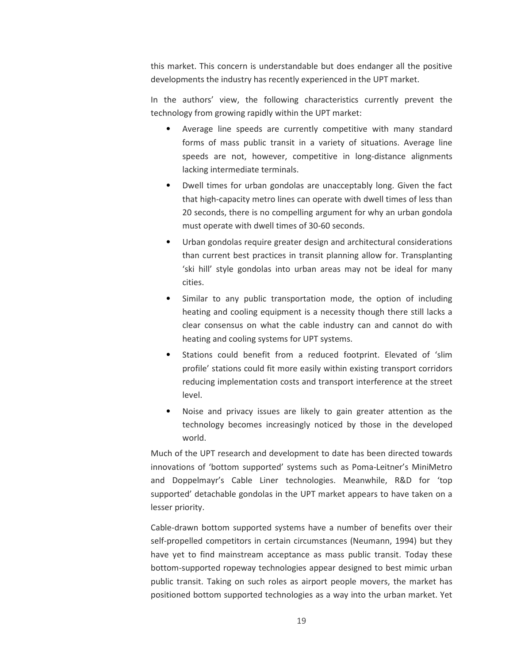this market. This concern is understandable but does endanger all the positive developments the industry has recently experienced in the UPT market.

In the authors' view, the following characteristics currently prevent the technology from growing rapidly within the UPT market:

- Average line speeds are currently competitive with many standard forms of mass public transit in a variety of situations. Average line speeds are not, however, competitive in long-distance alignments lacking intermediate terminals.
- Dwell times for urban gondolas are unacceptably long. Given the fact that high-capacity metro lines can operate with dwell times of less than 20 seconds, there is no compelling argument for why an urban gondola must operate with dwell times of 30-60 seconds.
- Urban gondolas require greater design and architectural considerations than current best practices in transit planning allow for. Transplanting 'ski hill' style gondolas into urban areas may not be ideal for many cities.
- Similar to any public transportation mode, the option of including heating and cooling equipment is a necessity though there still lacks a clear consensus on what the cable industry can and cannot do with heating and cooling systems for UPT systems.
- Stations could benefit from a reduced footprint. Elevated of 'slim profile' stations could fit more easily within existing transport corridors reducing implementation costs and transport interference at the street level.
- Noise and privacy issues are likely to gain greater attention as the technology becomes increasingly noticed by those in the developed world.

Much of the UPT research and development to date has been directed towards innovations of 'bottom supported' systems such as Poma-Leitner's MiniMetro and Doppelmayr's Cable Liner technologies. Meanwhile, R&D for 'top supported' detachable gondolas in the UPT market appears to have taken on a lesser priority.

Cable-drawn bottom supported systems have a number of benefits over their self-propelled competitors in certain circumstances (Neumann, 1994) but they have yet to find mainstream acceptance as mass public transit. Today these bottom-supported ropeway technologies appear designed to best mimic urban public transit. Taking on such roles as airport people movers, the market has positioned bottom supported technologies as a way into the urban market. Yet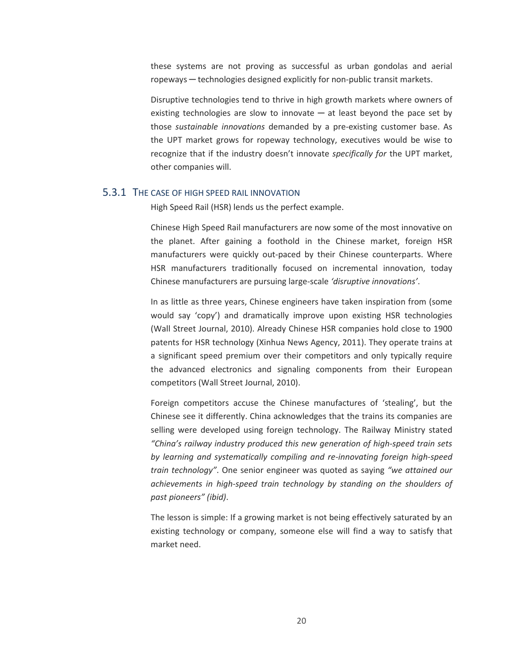these systems are not proving as successful as urban gondolas and aerial ropeways ─ technologies designed explicitly for non-public transit markets.

Disruptive technologies tend to thrive in high growth markets where owners of existing technologies are slow to innovate  $-$  at least beyond the pace set by those *sustainable innovations* demanded by a pre-existing customer base. As the UPT market grows for ropeway technology, executives would be wise to recognize that if the industry doesn't innovate *specifically for* the UPT market, other companies will.

#### 5.3.1 THE CASE OF HIGH SPEED RAIL INNOVATION

High Speed Rail (HSR) lends us the perfect example.

Chinese High Speed Rail manufacturers are now some of the most innovative on the planet. After gaining a foothold in the Chinese market, foreign HSR manufacturers were quickly out-paced by their Chinese counterparts. Where HSR manufacturers traditionally focused on incremental innovation, today Chinese manufacturers are pursuing large-scale *'disruptive innovations'*.

In as little as three years, Chinese engineers have taken inspiration from (some would say 'copy') and dramatically improve upon existing HSR technologies (Wall Street Journal, 2010). Already Chinese HSR companies hold close to 1900 patents for HSR technology (Xinhua News Agency, 2011). They operate trains at a significant speed premium over their competitors and only typically require the advanced electronics and signaling components from their European competitors (Wall Street Journal, 2010).

Foreign competitors accuse the Chinese manufactures of 'stealing', but the Chinese see it differently. China acknowledges that the trains its companies are selling were developed using foreign technology. The Railway Ministry stated *"China's railway industry produced this new generation of high-speed train sets by learning and systematically compiling and re-innovating foreign high-speed train technology"*. One senior engineer was quoted as saying *"we attained our achievements in high-speed train technology by standing on the shoulders of past pioneers" (ibid)*.

The lesson is simple: If a growing market is not being effectively saturated by an existing technology or company, someone else will find a way to satisfy that market need.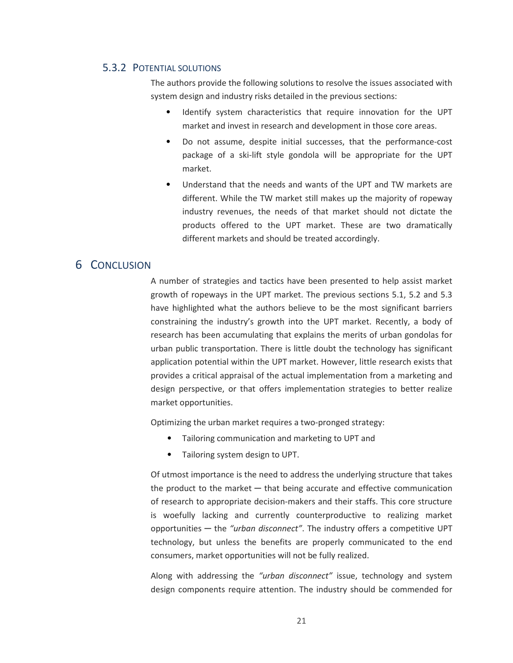#### 5.3.2 POTENTIAL SOLUTIONS

The authors provide the following solutions to resolve the issues associated with system design and industry risks detailed in the previous sections:

- Identify system characteristics that require innovation for the UPT market and invest in research and development in those core areas.
- Do not assume, despite initial successes, that the performance-cost package of a ski-lift style gondola will be appropriate for the UPT market.
- Understand that the needs and wants of the UPT and TW markets are different. While the TW market still makes up the majority of ropeway industry revenues, the needs of that market should not dictate the products offered to the UPT market. These are two dramatically different markets and should be treated accordingly.

# 6 CONCLUSION

A number of strategies and tactics have been presented to help assist market growth of ropeways in the UPT market. The previous sections 5.1, 5.2 and 5.3 have highlighted what the authors believe to be the most significant barriers constraining the industry's growth into the UPT market. Recently, a body of research has been accumulating that explains the merits of urban gondolas for urban public transportation. There is little doubt the technology has significant application potential within the UPT market. However, little research exists that provides a critical appraisal of the actual implementation from a marketing and design perspective, or that offers implementation strategies to better realize market opportunities.

Optimizing the urban market requires a two-pronged strategy:

- Tailoring communication and marketing to UPT and
- Tailoring system design to UPT.

Of utmost importance is the need to address the underlying structure that takes the product to the market  $-$  that being accurate and effective communication of research to appropriate decision-makers and their staffs. This core structure is woefully lacking and currently counterproductive to realizing market opportunities ─ the *"urban disconnect"*. The industry offers a competitive UPT technology, but unless the benefits are properly communicated to the end consumers, market opportunities will not be fully realized.

Along with addressing the *"urban disconnect"* issue, technology and system design components require attention. The industry should be commended for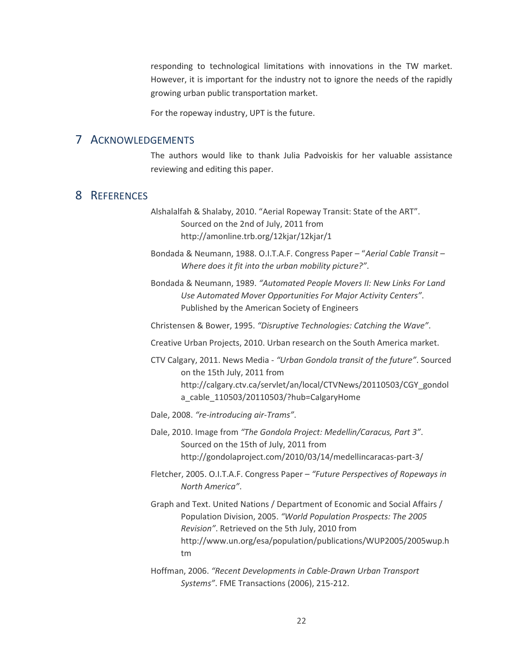responding to technological limitations with innovations in the TW market. However, it is important for the industry not to ignore the needs of the rapidly growing urban public transportation market.

For the ropeway industry, UPT is the future.

#### 7 ACKNOWLEDGEMENTS

The authors would like to thank Julia Padvoiskis for her valuable assistance reviewing and editing this paper.

#### 8 REFERENCES

Alshalalfah & Shalaby, 2010. "Aerial Ropeway Transit: State of the ART". Sourced on the 2nd of July, 2011 from http://amonline.trb.org/12kjar/12kjar/1

Bondada & Neumann, 1988. O.I.T.A.F. Congress Paper – "*Aerial Cable Transit – Where does it fit into the urban mobility picture?"*.

Bondada & Neumann, 1989. *"Automated People Movers II: New Links For Land Use Automated Mover Opportunities For Major Activity Centers"*. Published by the American Society of Engineers

Christensen & Bower, 1995. *"Disruptive Technologies: Catching the Wave"*.

Creative Urban Projects, 2010. Urban research on the South America market.

CTV Calgary, 2011. News Media - *"Urban Gondola transit of the future"*. Sourced on the 15th July, 2011 from http://calgary.ctv.ca/servlet/an/local/CTVNews/20110503/CGY\_gondol a\_cable\_110503/20110503/?hub=CalgaryHome

Dale, 2008. *"re-introducing air-Trams"*.

Dale, 2010. Image from *"The Gondola Project: Medellin/Caracus, Part 3"*. Sourced on the 15th of July, 2011 from http://gondolaproject.com/2010/03/14/medellincaracas-part-3/

Fletcher, 2005. O.I.T.A.F. Congress Paper – *"Future Perspectives of Ropeways in North America"*.

Graph and Text. United Nations / Department of Economic and Social Affairs / Population Division, 2005. *"World Population Prospects: The 2005 Revision"*. Retrieved on the 5th July, 2010 from http://www.un.org/esa/population/publications/WUP2005/2005wup.h tm

Hoffman, 2006. *"Recent Developments in Cable-Drawn Urban Transport Systems"*. FME Transactions (2006), 215-212.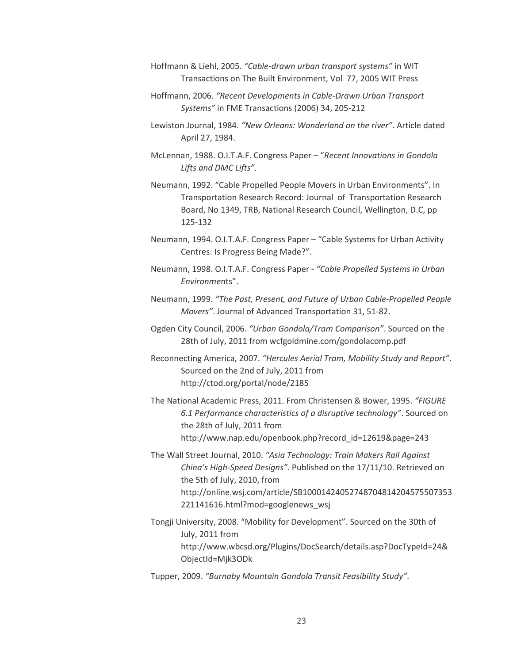- Hoffmann & Liehl, 2005. *"Cable-drawn urban transport systems"* in WIT Transactions on The Built Environment, Vol 77, 2005 WIT Press
- Hoffmann, 2006. *"Recent Developments in Cable-Drawn Urban Transport Systems"* in FME Transactions (2006) 34, 205-212
- Lewiston Journal, 1984. *"New Orleans: Wonderland on the river"*. Article dated April 27, 1984.
- McLennan, 1988. O.I.T.A.F. Congress Paper "*Recent Innovations in Gondola Lifts and DMC Lifts"*.
- Neumann, 1992. "Cable Propelled People Movers in Urban Environments". In Transportation Research Record: Journal of Transportation Research Board, No 1349, TRB, National Research Council, Wellington, D.C, pp 125-132
- Neumann, 1994. O.I.T.A.F. Congress Paper "Cable Systems for Urban Activity Centres: Is Progress Being Made?".
- Neumann, 1998. O.I.T.A.F. Congress Paper *"Cable Propelled Systems in Urban Environme*nts".
- Neumann, 1999. *"The Past, Present, and Future of Urban Cable-Propelled People Movers"*. Journal of Advanced Transportation 31, 51-82.
- Ogden City Council, 2006. *"Urban Gondola/Tram Comparison"*. Sourced on the 28th of July, 2011 from wcfgoldmine.com/gondolacomp.pdf
- Reconnecting America, 2007. *"Hercules Aerial Tram, Mobility Study and Report"*. Sourced on the 2nd of July, 2011 from http://ctod.org/portal/node/2185
- The National Academic Press, 2011. From Christensen & Bower, 1995. *"FIGURE 6.1 Performance characteristics of a disruptive technology"*. Sourced on the 28th of July, 2011 from http://www.nap.edu/openbook.php?record\_id=12619&page=243
- The Wall Street Journal, 2010. *"Asia Technology: Train Makers Rail Against China's High-Speed Designs"*. Published on the 17/11/10. Retrieved on the 5th of July, 2010, from http://online.wsj.com/article/SB10001424052748704814204575507353 221141616.html?mod=googlenews\_wsj
- Tongji University, 2008. "Mobility for Development". Sourced on the 30th of July, 2011 from http://www.wbcsd.org/Plugins/DocSearch/details.asp?DocTypeId=24& ObjectId=Mjk3ODk
- Tupper, 2009. *"Burnaby Mountain Gondola Transit Feasibility Study"*.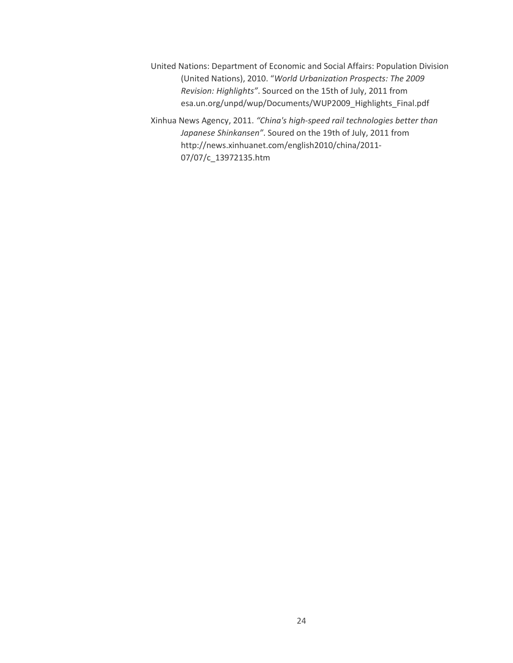- United Nations: Department of Economic and Social Affairs: Population Division (United Nations), 2010. "*World Urbanization Prospects: The 2009 Revision: Highlights"*. Sourced on the 15th of July, 2011 from esa.un.org/unpd/wup/Documents/WUP2009\_Highlights\_Final.pdf
- Xinhua News Agency, 2011. *"China's high-speed rail technologies better than Japanese Shinkansen"*. Soured on the 19th of July, 2011 from http://news.xinhuanet.com/english2010/china/2011- 07/07/c\_13972135.htm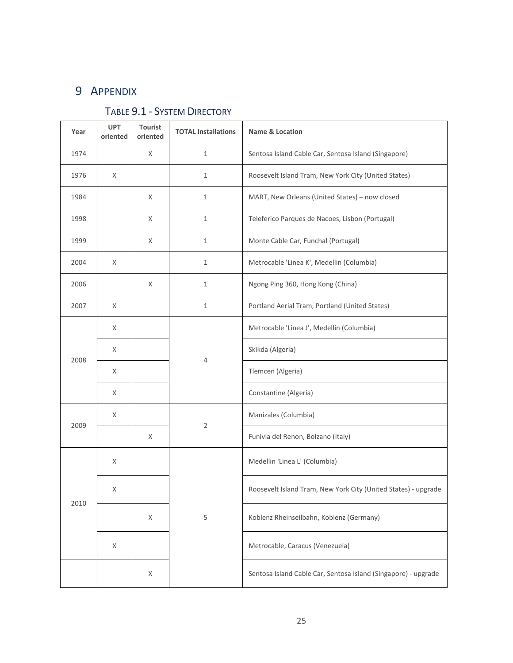# 9 APPENDIX

| Year | <b>UPT</b><br>oriented | Tourist<br>oriented | <b>TOTAL Installations</b> | Name & Location                                                |
|------|------------------------|---------------------|----------------------------|----------------------------------------------------------------|
| 1974 |                        | X                   | $\mathbf{1}$               | Sentosa Island Cable Car, Sentosa Island (Singapore)           |
| 1976 | X                      |                     | $\mathbf{1}$               | Roosevelt Island Tram, New York City (United States)           |
| 1984 |                        | X                   | $\mathbf{1}$               | MART, New Orleans (United States) - now closed                 |
| 1998 |                        | X                   | $1\,$                      | Teleferico Parques de Nacoes, Lisbon (Portugal)                |
| 1999 |                        | X                   | $\mathbf{1}$               | Monte Cable Car, Funchal (Portugal)                            |
| 2004 | X                      |                     | $\mathbf{1}$               | Metrocable 'Linea K', Medellin (Columbia)                      |
| 2006 |                        | X                   | $\mathbf{1}$               | Ngong Ping 360, Hong Kong (China)                              |
| 2007 | X                      |                     | $\mathbf{1}$               | Portland Aerial Tram, Portland (United States)                 |
| 2008 | X                      |                     | 4                          | Metrocable 'Linea J', Medellin (Columbia)                      |
|      | X                      |                     |                            | Skikda (Algeria)                                               |
|      | X                      |                     |                            | Tlemcen (Algeria)                                              |
|      | X                      |                     |                            | Constantine (Algeria)                                          |
| 2009 | X                      |                     | $\overline{2}$             | Manizales (Columbia)                                           |
|      |                        | X                   |                            | Funivia del Renon, Bolzano (Italy)                             |
| 2010 | X                      |                     |                            | Medellin 'Linea L' (Columbia)                                  |
|      | Χ                      |                     | 5                          | Roosevelt Island Tram, New York City (United States) - upgrade |
|      |                        | X                   |                            | Koblenz Rheinseilbahn, Koblenz (Germany)                       |
|      | X                      |                     |                            | Metrocable, Caracus (Venezuela)                                |
|      |                        | X                   |                            | Sentosa Island Cable Car, Sentosa Island (Singapore) - upgrade |

# TABLE 9.1 - SYSTEM DIRECTORY